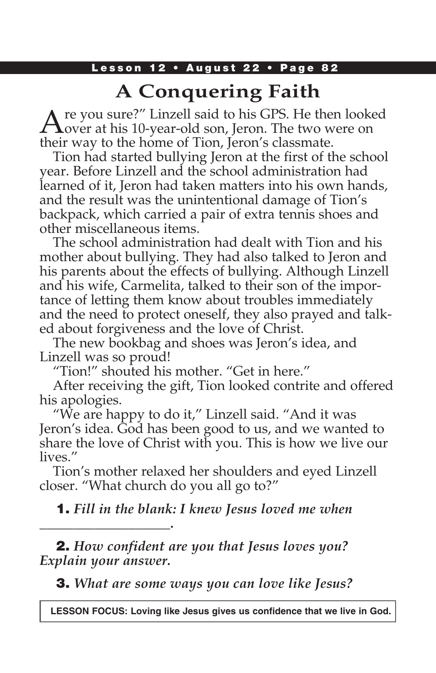### Lesson 12 • August 22 • Page 82

## **A Conquering Faith**

Are you sure?" Linzell said to his GPS. He then looked<br>over at his 10-year-old son, Jeron. The two were on their way to the home of Tion, Jeron's classmate.

Tion had started bullying Jeron at the first of the school year. Before Linzell and the school administration had learned of it, Jeron had taken matters into his own hands, and the result was the unintentional damage of Tion's backpack, which carried a pair of extra tennis shoes and other miscellaneous items.

The school administration had dealt with Tion and his mother about bullying. They had also talked to Jeron and his parents about the effects of bullying. Although Linzell and his wife, Carmelita, talked to their son of the importance of letting them know about troubles immediately and the need to protect oneself, they also prayed and talked about forgiveness and the love of Christ.

The new bookbag and shoes was Jeron's idea, and Linzell was so proud!

"Tion!" shouted his mother. "Get in here."

After receiving the gift, Tion looked contrite and offered his apologies.

"We are happy to do it," Linzell said. "And it was Jeron's idea. God has been good to us, and we wanted to share the love of Christ with you. This is how we live our lives."

Tion's mother relaxed her shoulders and eyed Linzell closer. "What church do you all go to?"

1. *Fill in the blank: I knew Jesus loved me when* 

2. *How confident are you that Jesus loves you? Explain your answer.*

*\_\_\_\_\_\_\_\_\_\_\_\_\_\_\_\_\_\_\_.*

3. *What are some ways you can love like Jesus?*

**LESSON FOCUS: Loving like Jesus gives us confidence that we live in God.**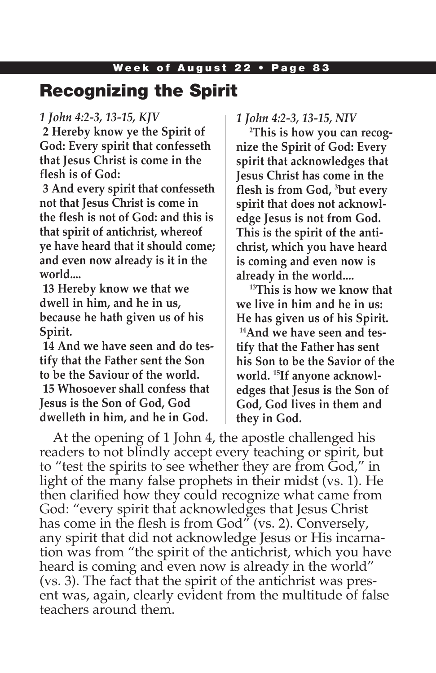## Recognizing the Spirit

#### *1 John 4:2-3, 13-15, KJV*

**2 Hereby know ye the Spirit of God: Every spirit that confesseth that Jesus Christ is come in the flesh is of God:**

**3 And every spirit that confesseth not that Jesus Christ is come in the flesh is not of God: and this is that spirit of antichrist, whereof ye have heard that it should come; and even now already is it in the world....**

**13 Hereby know we that we dwell in him, and he in us, because he hath given us of his Spirit.**

**14 And we have seen and do testify that the Father sent the Son to be the Saviour of the world. 15 Whosoever shall confess that Jesus is the Son of God, God dwelleth in him, and he in God.**

*1 John 4:2-3, 13-15, NIV*

**2 This is how you can recognize the Spirit of God: Every spirit that acknowledges that Jesus Christ has come in the flesh is from God, 3 but every spirit that does not acknowledge Jesus is not from God. This is the spirit of the antichrist, which you have heard is coming and even now is already in the world....** 

**13This is how we know that we live in him and he in us: He has given us of his Spirit. 14And we have seen and testify that the Father has sent his Son to be the Savior of the world. 15If anyone acknowledges that Jesus is the Son of God, God lives in them and they in God.** 

At the opening of 1 John 4, the apostle challenged his readers to not blindly accept every teaching or spirit, but to "test the spirits to see whether they are from God," in light of the many false prophets in their midst (vs. 1). He then clarified how they could recognize what came from God: "every spirit that acknowledges that Jesus Christ has come in the flesh is from God" (vs. 2). Conversely, any spirit that did not acknowledge Jesus or His incarnation was from "the spirit of the antichrist, which you have heard is coming and even now is already in the world" (vs. 3). The fact that the spirit of the antichrist was present was, again, clearly evident from the multitude of false teachers around them.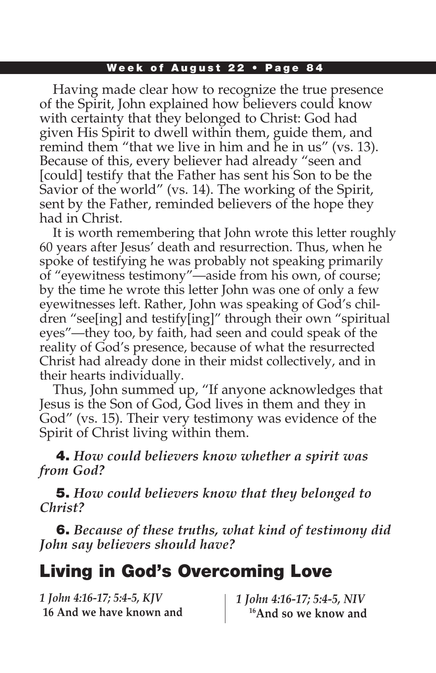Having made clear how to recognize the true presence of the Spirit, John explained how believers could know with certainty that they belonged to Christ: God had given His Spirit to dwell within them, guide them, and remind them "that we live in him and he in us" (vs. 13). Because of this, every believer had already "seen and [could] testify that the Father has sent his Son to be the Savior of the world" (vs. 14). The working of the Spirit, sent by the Father, reminded believers of the hope they had in Christ.

It is worth remembering that John wrote this letter roughly 60 years after Jesus' death and resurrection. Thus, when he spoke of testifying he was probably not speaking primarily of "eyewitness testimony"—aside from his own, of course; by the time he wrote this letter John was one of only a few eyewitnesses left. Rather, John was speaking of God's children "see[ing] and testify[ing]" through their own "spiritual eyes"—they too, by faith, had seen and could speak of the reality of God's presence, because of what the resurrected Christ had already done in their midst collectively, and in their hearts individually.

Thus, John summed up, "If anyone acknowledges that Jesus is the Son of God, God lives in them and they in God" (vs. 15). Their very testimony was evidence of the Spirit of Christ living within them.

4. *How could believers know whether a spirit was from God?* 

5. *How could believers know that they belonged to Christ?*

6. *Because of these truths, what kind of testimony did John say believers should have?*

# Living in God's Overcoming Love

| 1 John 4:16-17; 5:4-5, KJV | 1 John 4:16-17; 5:4-5, NIV       |
|----------------------------|----------------------------------|
| 16 And we have known and   | <sup>16</sup> And so we know and |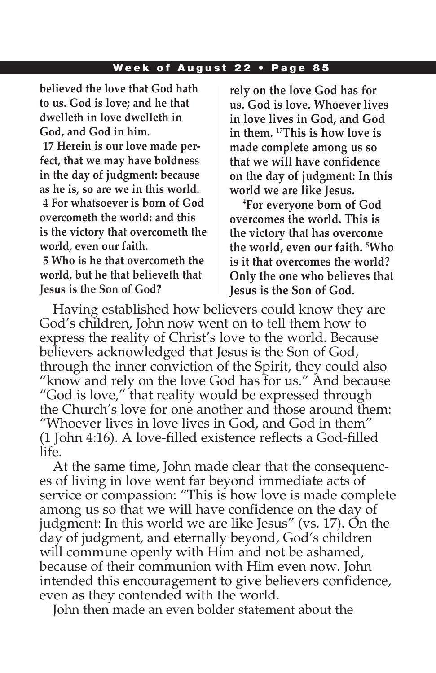**believed the love that God hath to us. God is love; and he that dwelleth in love dwelleth in God, and God in him.**

**17 Herein is our love made perfect, that we may have boldness in the day of judgment: because as he is, so are we in this world. 4 For whatsoever is born of God** 

**overcometh the world: and this is the victory that overcometh the world, even our faith.**

**5 Who is he that overcometh the world, but he that believeth that Jesus is the Son of God?**

**rely on the love God has for us. God is love. Whoever lives in love lives in God, and God in them. 17This is how love is made complete among us so that we will have confidence on the day of judgment: In this world we are like Jesus.**

**4 For everyone born of God overcomes the world. This is the victory that has overcome the world, even our faith. 5 Who is it that overcomes the world? Only the one who believes that Jesus is the Son of God.**

Having established how believers could know they are God's children, John now went on to tell them how to express the reality of Christ's love to the world. Because believers acknowledged that Jesus is the Son of God, through the inner conviction of the Spirit, they could also "know and rely on the love God has for us." And because "God is love," that reality would be expressed through the Church's love for one another and those around them: "Whoever lives in love lives in God, and God in them" (1 John 4:16). A love-filled existence reflects a God-filled life.

At the same time, John made clear that the consequences of living in love went far beyond immediate acts of service or compassion: "This is how love is made complete among us so that we will have confidence on the day of judgment: In this world we are like Jesus" (vs. 17). On the day of judgment, and eternally beyond, God's children will commune openly with Him and not be ashamed, because of their communion with Him even now. John intended this encouragement to give believers confidence, even as they contended with the world.

John then made an even bolder statement about the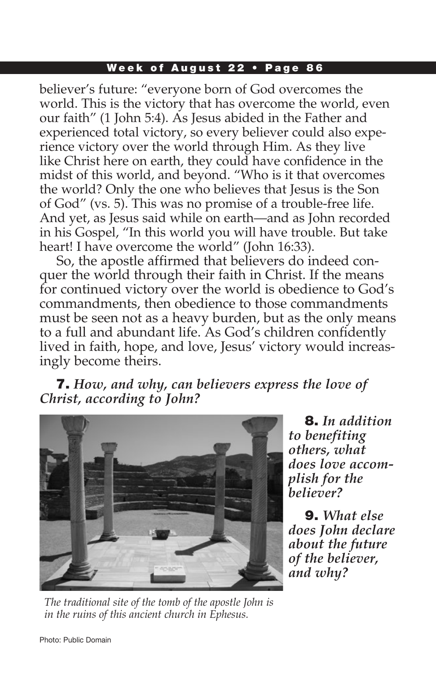believer's future: "everyone born of God overcomes the world. This is the victory that has overcome the world, even our faith" (1 John 5:4). As Jesus abided in the Father and experienced total victory, so every believer could also experience victory over the world through Him. As they live like Christ here on earth, they could have confidence in the midst of this world, and beyond. "Who is it that overcomes the world? Only the one who believes that Jesus is the Son of God" (vs. 5). This was no promise of a trouble-free life. And yet, as Jesus said while on earth—and as John recorded in his Gospel, "In this world you will have trouble. But take heart! I have overcome the world" (John 16:33).

 So, the apostle affirmed that believers do indeed conquer the world through their faith in Christ. If the means for continued victory over the world is obedience to God's commandments, then obedience to those commandments must be seen not as a heavy burden, but as the only means to a full and abundant life. As God's children confidently lived in faith, hope, and love, Jesus' victory would increasingly become theirs.

7. *How, and why, can believers express the love of Christ, according to John?*



*The traditional site of the tomb of the apostle John is in the ruins of this ancient church in Ephesus.*

8. *In addition to benefiting others, what does love accomplish for the believer?*

9. *What else does John declare about the future of the believer, and why?*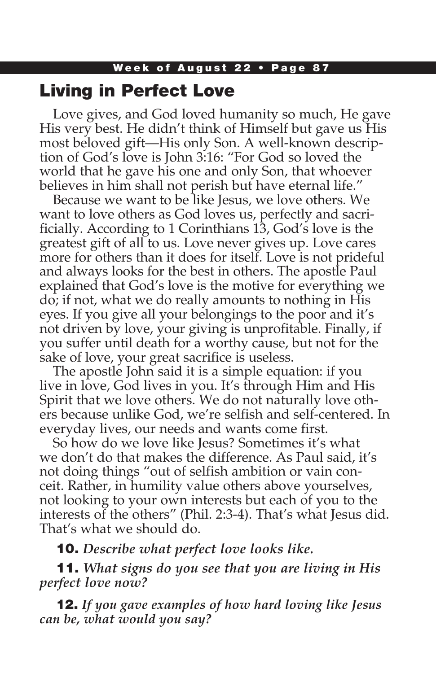## Living in Perfect Love

Love gives, and God loved humanity so much, He gave His very best. He didn't think of Himself but gave us His most beloved gift—His only Son. A well-known description of God's love is John 3:16: "For God so loved the world that he gave his one and only Son, that whoever believes in him shall not perish but have eternal life."

Because we want to be like Jesus, we love others. We want to love others as God loves us, perfectly and sacrificially. According to 1 Corinthians 13, God's love is the greatest gift of all to us. Love never gives up. Love cares more for others than it does for itself. Love is not prideful and always looks for the best in others. The apostle Paul explained that God's love is the motive for everything we do; if not, what we do really amounts to nothing in His eyes. If you give all your belongings to the poor and it's not driven by love, your giving is unprofitable. Finally, if you suffer until death for a worthy cause, but not for the sake of love, your great sacrifice is useless.

The apostle John said it is a simple equation: if you live in love, God lives in you. It's through Him and His Spirit that we love others. We do not naturally love others because unlike God, we're selfish and self-centered. In everyday lives, our needs and wants come first.

So how do we love like Jesus? Sometimes it's what we don't do that makes the difference. As Paul said, it's not doing things "out of selfish ambition or vain conceit. Rather, in humility value others above yourselves, not looking to your own interests but each of you to the interests of the others" (Phil. 2:3-4). That's what Jesus did. That's what we should do.

10. *Describe what perfect love looks like.*

11. *What signs do you see that you are living in His perfect love now?*

12. *If you gave examples of how hard loving like Jesus can be, what would you say?*